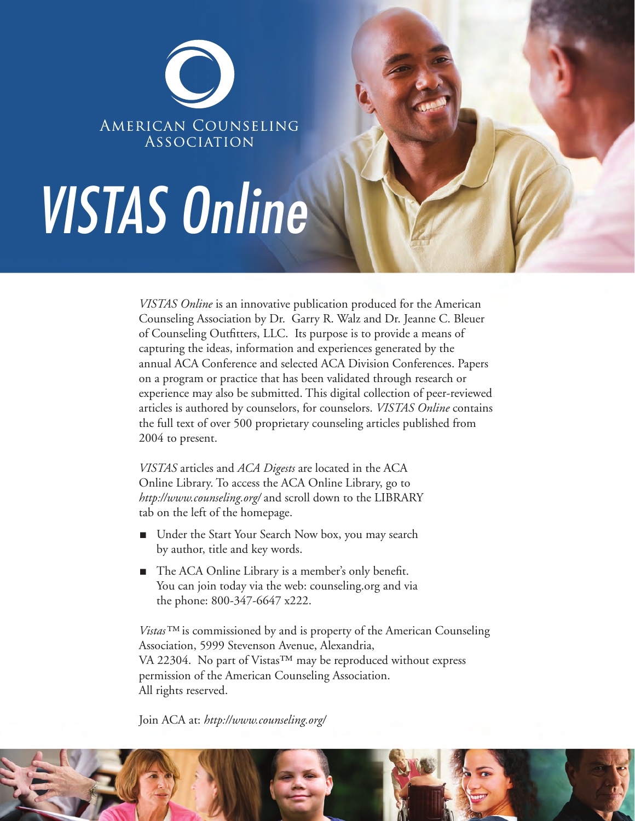

# VISTAS Online

*VISTAS Online* is an innovative publication produced for the American Counseling Association by Dr. Garry R. Walz and Dr. Jeanne C. Bleuer of Counseling Outfitters, LLC. Its purpose is to provide a means of capturing the ideas, information and experiences generated by the annual ACA Conference and selected ACA Division Conferences. Papers on a program or practice that has been validated through research or experience may also be submitted. This digital collection of peer-reviewed articles is authored by counselors, for counselors. *VISTAS Online* contains the full text of over 500 proprietary counseling articles published from 2004 to present.

*VISTAS* articles and *ACA Digests* are located in the ACA Online Library. To access the ACA Online Library, go to *http://www.counseling.org/* and scroll down to the LIBRARY tab on the left of the homepage.

- Under the Start Your Search Now box, you may search by author, title and key words.
- The ACA Online Library is a member's only benefit. You can join today via the web: counseling.org and via the phone: 800-347-6647 x222.

*Vistas™* is commissioned by and is property of the American Counseling Association, 5999 Stevenson Avenue, Alexandria, VA 22304. No part of Vistas™ may be reproduced without express permission of the American Counseling Association. All rights reserved.

Join ACA at: *http://www.counseling.org/* 

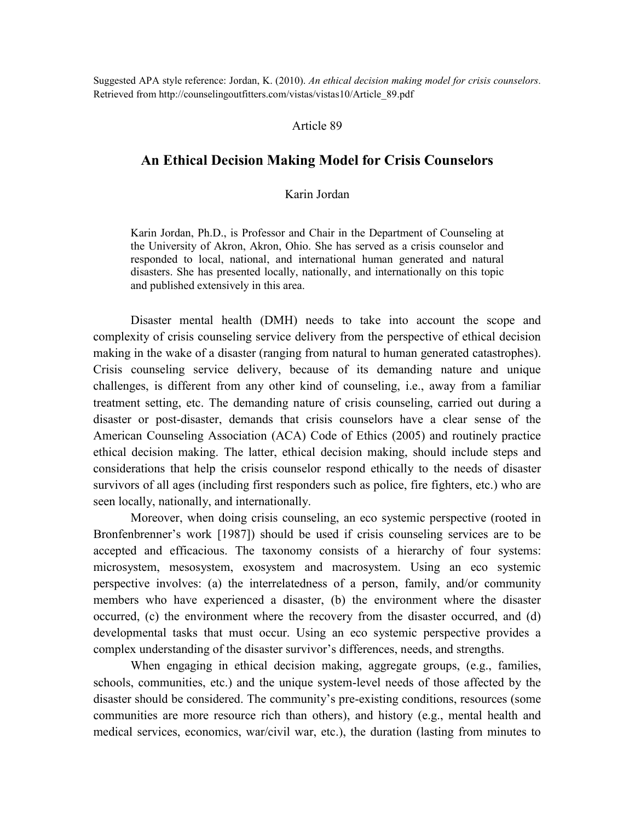Suggested APA style reference: Jordan, K. (2010). *An ethical decision making model for crisis counselors.* Retrieved from http://counselingoutfitters.com/vistas/vistas10/Article\_89.pdf

### Article 89

# **An Ethical Decision Making Model for Crisis Counselors**

## Karin Jordan

Karin Jordan, Ph.D., is Professor and Chair in the Department of Counseling at the University of Akron, Akron, Ohio. She has served as a crisis counselor and responded to local, national, and international human generated and natural disasters. She has presented locally, nationally, and internationally on this topic and published extensively in this area.

Disaster mental health (DMH) needs to take into account the scope and complexity of crisis counseling service delivery from the perspective of ethical decision making in the wake of a disaster (ranging from natural to human generated catastrophes). Crisis counseling service delivery, because of its demanding nature and unique challenges, is different from any other kind of counseling, i.e., away from a familiar treatment setting, etc. The demanding nature of crisis counseling, carried out during a disaster or post-disaster, demands that crisis counselors have a clear sense of the American Counseling Association (ACA) Code of Ethics (2005) and routinely practice ethical decision making. The latter, ethical decision making, should include steps and considerations that help the crisis counselor respond ethically to the needs of disaster survivors of all ages (including first responders such as police, fire fighters, etc.) who are seen locally, nationally, and internationally.

Moreover, when doing crisis counseling, an eco systemic perspective (rooted in Bronfenbrenner's work [1987]) should be used if crisis counseling services are to be accepted and efficacious. The taxonomy consists of a hierarchy of four systems: microsystem, mesosystem, exosystem and macrosystem. Using an eco systemic perspective involves: (a) the interrelatedness of a person, family, and/or community members who have experienced a disaster, (b) the environment where the disaster occurred, (c) the environment where the recovery from the disaster occurred, and (d) developmental tasks that must occur. Using an eco systemic perspective provides a complex understanding of the disaster survivor's differences, needs, and strengths.

When engaging in ethical decision making, aggregate groups, (e.g., families, schools, communities, etc.) and the unique system-level needs of those affected by the disaster should be considered. The community's pre-existing conditions, resources (some communities are more resource rich than others), and history (e.g., mental health and medical services, economics, war/civil war, etc.), the duration (lasting from minutes to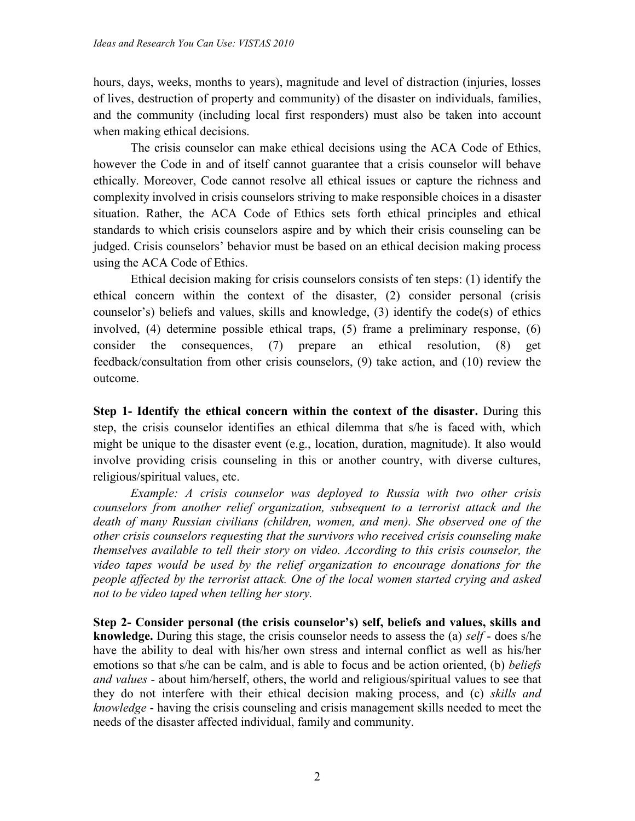hours, days, weeks, months to years), magnitude and level of distraction (injuries, losses of lives, destruction of property and community) of the disaster on individuals, families, and the community (including local first responders) must also be taken into account when making ethical decisions.

 The crisis counselor can make ethical decisions using the ACA Code of Ethics, however the Code in and of itself cannot guarantee that a crisis counselor will behave ethically. Moreover, Code cannot resolve all ethical issues or capture the richness and complexity involved in crisis counselors striving to make responsible choices in a disaster situation. Rather, the ACA Code of Ethics sets forth ethical principles and ethical standards to which crisis counselors aspire and by which their crisis counseling can be judged. Crisis counselors' behavior must be based on an ethical decision making process using the ACA Code of Ethics.

Ethical decision making for crisis counselors consists of ten steps: (1) identify the ethical concern within the context of the disaster, (2) consider personal (crisis counselor's) beliefs and values, skills and knowledge, (3) identify the code(s) of ethics involved, (4) determine possible ethical traps, (5) frame a preliminary response, (6) consider the consequences, (7) prepare an ethical resolution, (8) get feedback/consultation from other crisis counselors, (9) take action, and (10) review the outcome.

**Step 1- Identify the ethical concern within the context of the disaster.** During this step, the crisis counselor identifies an ethical dilemma that s/he is faced with, which might be unique to the disaster event (e.g., location, duration, magnitude). It also would involve providing crisis counseling in this or another country, with diverse cultures, religious/spiritual values, etc.

 *Example: A crisis counselor was deployed to Russia with two other crisis counselors from another relief organization, subsequent to a terrorist attack and the death of many Russian civilians (children, women, and men). She observed one of the other crisis counselors requesting that the survivors who received crisis counseling make themselves available to tell their story on video. According to this crisis counselor, the video tapes would be used by the relief organization to encourage donations for the people affected by the terrorist attack. One of the local women started crying and asked not to be video taped when telling her story.* 

**Step 2- Consider personal (the crisis counselor's) self, beliefs and values, skills and knowledge.** During this stage, the crisis counselor needs to assess the (a) *self* - does s/he have the ability to deal with his/her own stress and internal conflict as well as his/her emotions so that s/he can be calm, and is able to focus and be action oriented, (b) *beliefs and values* - about him/herself, others, the world and religious/spiritual values to see that they do not interfere with their ethical decision making process, and (c) *skills and knowledge* - having the crisis counseling and crisis management skills needed to meet the needs of the disaster affected individual, family and community.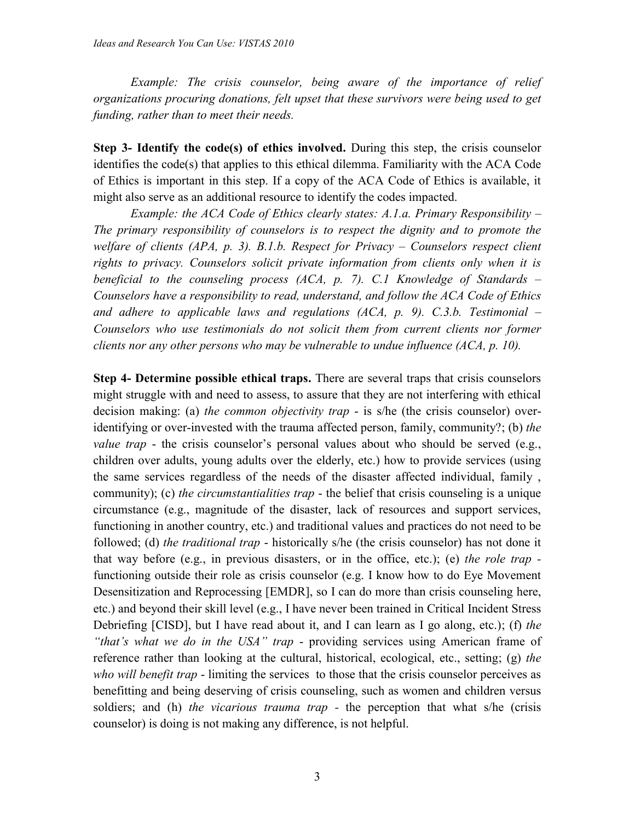*Example: The crisis counselor, being aware of the importance of relief organizations procuring donations, felt upset that these survivors were being used to get funding, rather than to meet their needs.* 

**Step 3- Identify the code(s) of ethics involved.** During this step, the crisis counselor identifies the code(s) that applies to this ethical dilemma. Familiarity with the ACA Code of Ethics is important in this step. If a copy of the ACA Code of Ethics is available, it might also serve as an additional resource to identify the codes impacted.

 *Example: the ACA Code of Ethics clearly states: A.1.a. Primary Responsibility – The primary responsibility of counselors is to respect the dignity and to promote the welfare of clients (APA, p. 3). B.1.b. Respect for Privacy – Counselors respect client rights to privacy. Counselors solicit private information from clients only when it is beneficial to the counseling process (ACA, p. 7). C.1 Knowledge of Standards – Counselors have a responsibility to read, understand, and follow the ACA Code of Ethics*  and adhere to applicable laws and regulations (ACA, p. 9). C.3.b. Testimonial – *Counselors who use testimonials do not solicit them from current clients nor former clients nor any other persons who may be vulnerable to undue influence (ACA, p. 10).* 

**Step 4- Determine possible ethical traps.** There are several traps that crisis counselors might struggle with and need to assess, to assure that they are not interfering with ethical decision making: (a) *the common objectivity trap* - is s/he (the crisis counselor) overidentifying or over-invested with the trauma affected person, family, community?; (b) *the value trap* - the crisis counselor's personal values about who should be served (e.g., children over adults, young adults over the elderly, etc.) how to provide services (using the same services regardless of the needs of the disaster affected individual, family , community); (c) *the circumstantialities trap* - the belief that crisis counseling is a unique circumstance (e.g., magnitude of the disaster, lack of resources and support services, functioning in another country, etc.) and traditional values and practices do not need to be followed; (d) *the traditional trap* - historically s/he (the crisis counselor) has not done it that way before (e.g., in previous disasters, or in the office, etc.); (e) *the role trap*  functioning outside their role as crisis counselor (e.g. I know how to do Eye Movement Desensitization and Reprocessing [EMDR], so I can do more than crisis counseling here, etc.) and beyond their skill level (e.g., I have never been trained in Critical Incident Stress Debriefing [CISD], but I have read about it, and I can learn as I go along, etc.); (f) *the "that's what we do in the USA" trap* - providing services using American frame of reference rather than looking at the cultural, historical, ecological, etc., setting; (g) *the who will benefit trap* - limiting the services to those that the crisis counselor perceives as benefitting and being deserving of crisis counseling, such as women and children versus soldiers; and (h) *the vicarious trauma trap -* the perception that what s/he (crisis counselor) is doing is not making any difference, is not helpful.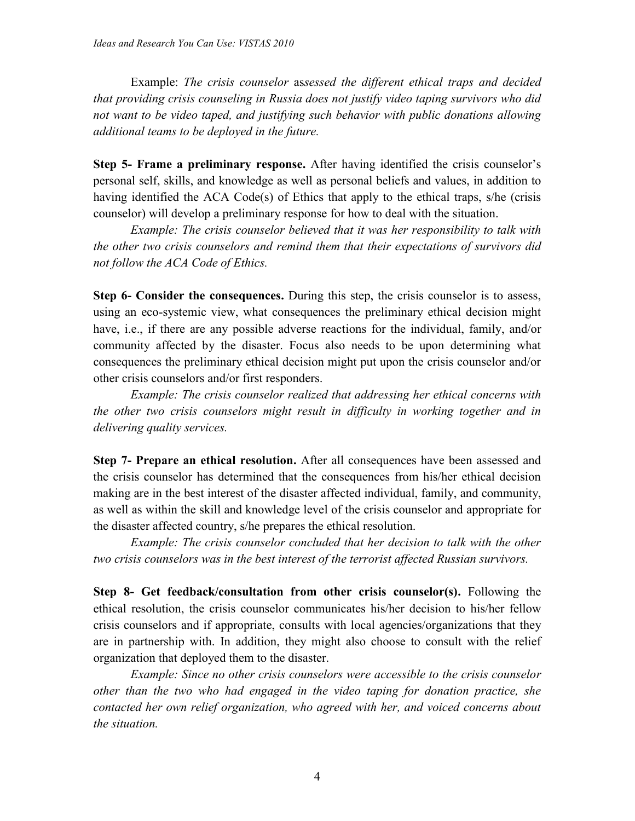Example: *The crisis counselor* as*sessed the different ethical traps and decided that providing crisis counseling in Russia does not justify video taping survivors who did not want to be video taped, and justifying such behavior with public donations allowing additional teams to be deployed in the future.* 

**Step 5- Frame a preliminary response.** After having identified the crisis counselor's personal self, skills, and knowledge as well as personal beliefs and values, in addition to having identified the ACA Code(s) of Ethics that apply to the ethical traps, s/he (crisis counselor) will develop a preliminary response for how to deal with the situation.

 *Example: The crisis counselor believed that it was her responsibility to talk with the other two crisis counselors and remind them that their expectations of survivors did not follow the ACA Code of Ethics.* 

**Step 6- Consider the consequences.** During this step, the crisis counselor is to assess, using an eco-systemic view, what consequences the preliminary ethical decision might have, i.e., if there are any possible adverse reactions for the individual, family, and/or community affected by the disaster. Focus also needs to be upon determining what consequences the preliminary ethical decision might put upon the crisis counselor and/or other crisis counselors and/or first responders.

 *Example: The crisis counselor realized that addressing her ethical concerns with the other two crisis counselors might result in difficulty in working together and in delivering quality services.* 

**Step 7- Prepare an ethical resolution.** After all consequences have been assessed and the crisis counselor has determined that the consequences from his/her ethical decision making are in the best interest of the disaster affected individual, family, and community, as well as within the skill and knowledge level of the crisis counselor and appropriate for the disaster affected country, s/he prepares the ethical resolution.

 *Example: The crisis counselor concluded that her decision to talk with the other two crisis counselors was in the best interest of the terrorist affected Russian survivors.* 

**Step 8- Get feedback/consultation from other crisis counselor(s).** Following the ethical resolution, the crisis counselor communicates his/her decision to his/her fellow crisis counselors and if appropriate, consults with local agencies/organizations that they are in partnership with. In addition, they might also choose to consult with the relief organization that deployed them to the disaster.

 *Example: Since no other crisis counselors were accessible to the crisis counselor other than the two who had engaged in the video taping for donation practice, she contacted her own relief organization, who agreed with her, and voiced concerns about the situation.*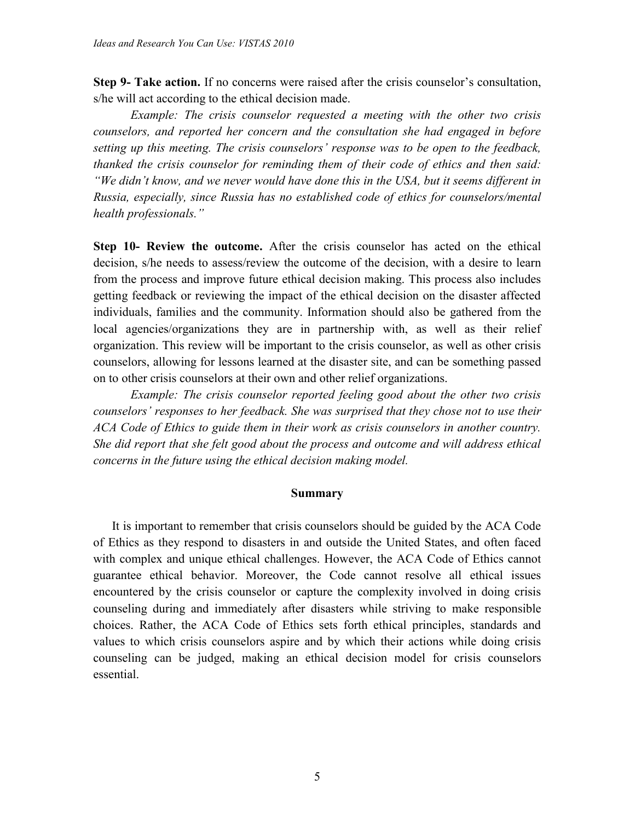**Step 9- Take action.** If no concerns were raised after the crisis counselor's consultation, s/he will act according to the ethical decision made.

 *Example: The crisis counselor requested a meeting with the other two crisis counselors, and reported her concern and the consultation she had engaged in before setting up this meeting. The crisis counselors' response was to be open to the feedback, thanked the crisis counselor for reminding them of their code of ethics and then said: "We didn't know, and we never would have done this in the USA, but it seems different in Russia, especially, since Russia has no established code of ethics for counselors/mental health professionals."* 

**Step 10- Review the outcome.** After the crisis counselor has acted on the ethical decision, s/he needs to assess/review the outcome of the decision, with a desire to learn from the process and improve future ethical decision making. This process also includes getting feedback or reviewing the impact of the ethical decision on the disaster affected individuals, families and the community. Information should also be gathered from the local agencies/organizations they are in partnership with, as well as their relief organization. This review will be important to the crisis counselor, as well as other crisis counselors, allowing for lessons learned at the disaster site, and can be something passed on to other crisis counselors at their own and other relief organizations.

 *Example: The crisis counselor reported feeling good about the other two crisis counselors' responses to her feedback. She was surprised that they chose not to use their ACA Code of Ethics to guide them in their work as crisis counselors in another country. She did report that she felt good about the process and outcome and will address ethical concerns in the future using the ethical decision making model.* 

### **Summary**

It is important to remember that crisis counselors should be guided by the ACA Code of Ethics as they respond to disasters in and outside the United States, and often faced with complex and unique ethical challenges. However, the ACA Code of Ethics cannot guarantee ethical behavior. Moreover, the Code cannot resolve all ethical issues encountered by the crisis counselor or capture the complexity involved in doing crisis counseling during and immediately after disasters while striving to make responsible choices. Rather, the ACA Code of Ethics sets forth ethical principles, standards and values to which crisis counselors aspire and by which their actions while doing crisis counseling can be judged, making an ethical decision model for crisis counselors essential.